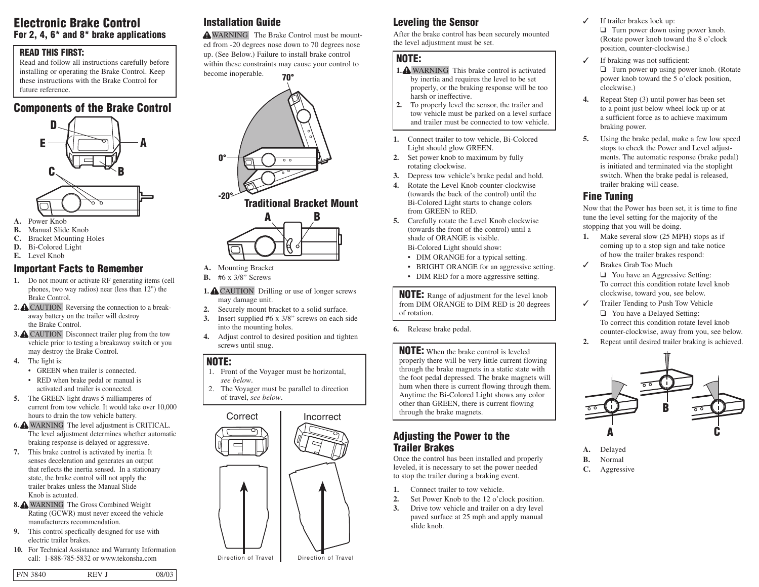### **Electronic Brake Control For 2, 4, 6\* and 8\* brake applications**

#### **READ THIS FIRST:**

Read and follow all instructions carefully before installing or operating the Brake Control. Keep these instructions with the Brake Control for future reference.

### **Components of the Brake Control**



- **A.** Power Knob
- **B.** Manual Slide Knob
- **C.** Bracket Mounting Holes
- **D.** Bi-Colored Light
- **E.** Level Knob

#### **Important Facts to Remember**

- **1.** Do not mount or activate RF generating items (cell phones, two way radios) near (less than 12") the Brake Control.
- **2.** CAUTION Reversing the connection to a breakaway battery on the trailer will destroy the Brake Control.
- **3.** CAUTION Disconnect trailer plug from the tow vehicle prior to testing a breakaway switch or you may destroy the Brake Control.
- **4.** The light is:
	- GREEN when trailer is connected. • RED when brake pedal or manual is
	- activated and trailer is connected.
- **5.** The GREEN light draws 5 milliamperes of current from tow vehicle. It would take over 10,000 hours to drain the tow vehicle battery.
- **6.** WARNING The level adjustment is CRITICAL. The level adjustment determines whether automatic braking response is delayed or aggressive.
- **7.** This brake control is activated by inertia. It senses deceleration and generates an output that reflects the inertia sensed. In a stationary state, the brake control will not apply the trailer brakes unless the Manual Slide Knob is actuated.
- **8.** WARNING The Gross Combined Weight Rating (GCWR) must never exceed the vehicle manufacturers recommendation.
- **9.** This control specfically designed for use with electric trailer brakes.
- **10.** For Technical Assistance and Warranty Information call: 1-888-785-5832 or www.tekonsha.com

# **Installation Guide**

WARNING The Brake Control must be mounted from -20 degrees nose down to 70 degrees nose up. (See Below.) Failure to install brake control within these constraints may cause your control to become inoperable.



### **Traditional Bracket Mount**



- **A.** Mounting Bracket
- **B.** #6 x 3/8" Screws
- 1. **A** CAUTION Drilling or use of longer screws may damage unit.
- **2.** Securely mount bracket to a solid surface.
- **3.** Insert supplied #6 x 3/8" screws on each side into the mounting holes.
- **4.** Adjust control to desired position and tighten screws until snug.

#### **NOTE:**

- 1. Front of the Voyager must be horizontal, *see below*. 2. The Voyager must be parallel to direction
- of travel, *see below*.



# **Leveling the Sensor**

After the brake control has been securely mounted the level adjustment must be set.

#### **NOTE:**

- **1.** WARNING This brake control is activated by inertia and requires the level to be set properly, or the braking response will be too harsh or ineffective.
- **2.** To properly level the sensor, the trailer and tow vehicle must be parked on a level surface and trailer must be connected to tow vehicle.
- **1.** Connect trailer to tow vehicle, Bi-Colored Light should glow GREEN.
- **2.** Set power knob to maximum by fully rotating clockwise.
- **3.** Depress tow vehicle's brake pedal and hold.
- **4.** Rotate the Level Knob counter-clockwise (towards the back of the control) until the Bi-Colored Light starts to change colors from GREEN to RED.
- **5.** Carefully rotate the Level Knob clockwise (towards the front of the control) until a shade of ORANGE is visible. Bi-Colored Light should show:

- DIM ORANGE for a typical setting.
- BRIGHT ORANGE for an aggressive setting.
- DIM RED for a more aggressive setting.

**NOTE:** Range of adjustment for the level knob from DIM ORANGE to DIM RED is 20 degrees of rotation.

**6.** Release brake pedal.

#### **NOTE:** When the brake control is leveled

properly there will be very little current flowing through the brake magnets in a static state with the foot pedal depressed. The brake magnets will hum when there is current flowing through them. Anytime the Bi-Colored Light shows any color other than GREEN, there is current flowing through the brake magnets.

### **Adjusting the Power to the Trailer Brakes**

Once the control has been installed and properly leveled, it is necessary to set the power needed to stop the trailer during a braking event.

- **1.** Connect trailer to tow vehicle.
- **2.** Set Power Knob to the 12 o'clock position.
- **3.** Drive tow vehicle and trailer on a dry level paved surface at 25 mph and apply manual slide knob.
- ✓ If trailer brakes lock up: ❑ Turn power down using power knob. (Rotate power knob toward the 8 o'clock position, counter-clockwise.)
- ✓ If braking was not sufficient: ❑ Turn power up using power knob. (Rotate power knob toward the 5 o'clock position, clockwise.)
- **4.** Repeat Step (3) until power has been set to a point just below wheel lock up or at a sufficient force as to achieve maximum braking power.
- **5.** Using the brake pedal, make a few low speed stops to check the Power and Level adjustments. The automatic response (brake pedal) is initiated and terminated via the stoplight switch. When the brake pedal is released, trailer braking will cease.

### **Fine Tuning**

Now that the Power has been set, it is time to fine tune the level setting for the majority of the stopping that you will be doing.

- **1.** Make several slow (25 MPH) stops as if coming up to a stop sign and take notice of how the trailer brakes respond:
- ✓ Brakes Grab Too Much ❑ You have an Aggressive Setting: To correct this condition rotate level knob clockwise, toward you, see below.
- ✓ Trailer Tending to Push Tow Vehicle ❑ You have a Delayed Setting: To correct this condition rotate level knob counter-clockwise, away from you, see below. **2.** Repeat until desired trailer braking is achieved.



- **A.** Delayed
- **B.** Normal
- **C.** Aggressive

P/N 3840 REV J 08/03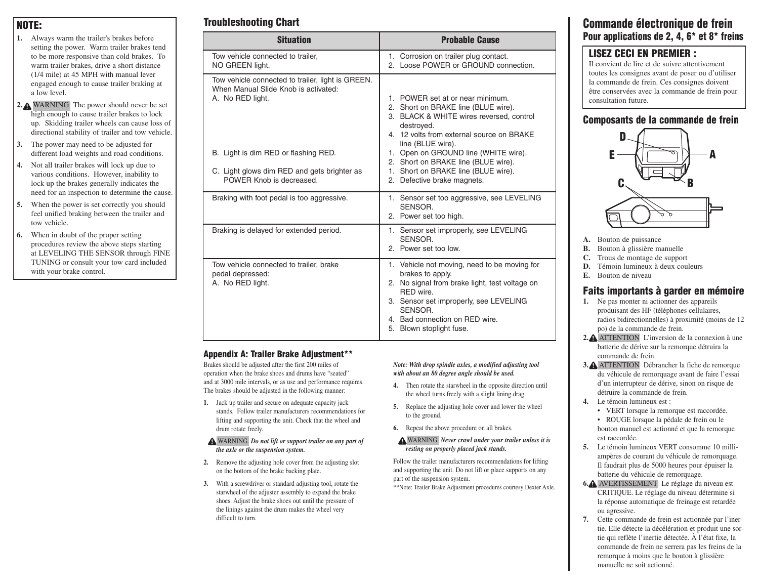### **NOTE:**

- **1.** Always warm the trailer's brakes before setting the power. Warm trailer brakes tend to be more responsive than cold brakes. To warm trailer brakes, drive a short distance (1/4 mile) at 45 MPH with manual lever engaged enough to cause trailer braking at a low level.
- **2.** WARNING The power should never be set high enough to cause trailer brakes to lock up. Skidding trailer wheels can cause loss of directional stability of trailer and tow vehicle.
- **3.** The power may need to be adjusted for different load weights and road conditions.
- **4.** Not all trailer brakes will lock up due to various conditions. However, inability to lock up the brakes generally indicates the need for an inspection to determine the cause.
- **5.** When the power is set correctly you should feel unified braking between the trailer and tow vehicle.
- **6.** When in doubt of the proper setting procedures review the above steps starting at LEVELING THE SENSOR through FINE TUNING or consult your tow card included with your brake control.

# **Troubleshooting Chart**

| <b>Situation</b>                                                                                                | <b>Probable Cause</b>                                                                                                                                                                                                                             |
|-----------------------------------------------------------------------------------------------------------------|---------------------------------------------------------------------------------------------------------------------------------------------------------------------------------------------------------------------------------------------------|
| Tow vehicle connected to trailer.<br>NO GREEN light.                                                            | 1. Corrosion on trailer plug contact.<br>2. Loose POWER or GROUND connection.                                                                                                                                                                     |
| Tow vehicle connected to trailer, light is GREEN.<br>When Manual Slide Knob is activated:<br>A. No RED light.   | 1. POWER set at or near minimum.<br>2. Short on BRAKE line (BLUE wire).<br>3. BLACK & WHITE wires reversed, control<br>destroyed.<br>4. 12 volts from external source on BRAKE<br>line (BLUE wire).                                               |
| B. Light is dim RED or flashing RED.<br>C. Light glows dim RED and gets brighter as<br>POWER Knob is decreased. | 1. Open on GROUND line (WHITE wire).<br>2. Short on BRAKE line (BLUE wire).<br>1. Short on BRAKE line (BLUE wire).<br>2. Defective brake magnets.                                                                                                 |
| Braking with foot pedal is too aggressive.                                                                      | 1. Sensor set too aggressive, see LEVELING<br>SENSOR.<br>2. Power set too high.                                                                                                                                                                   |
| Braking is delayed for extended period.                                                                         | 1. Sensor set improperly, see LEVELING<br>SENSOR.<br>2. Power set too low.                                                                                                                                                                        |
| Tow vehicle connected to trailer, brake<br>pedal depressed:<br>A. No RED light.                                 | 1. Vehicle not moving, need to be moving for<br>brakes to apply.<br>2. No signal from brake light, test voltage on<br>RFD wire<br>3. Sensor set improperly, see LEVELING<br>SENSOR.<br>4. Bad connection on RED wire.<br>5. Blown stoplight fuse. |

#### **Appendix A: Trailer Brake Adjustment\*\***

Brakes should be adjusted after the first 200 miles of operation when the brake shoes and drums have "seated" and at 3000 mile intervals, or as use and performance requires. The brakes should be adjusted in the following manner:

- **1.** Jack up trailer and secure on adequate capacity jack stands. Follow trailer manufacturers recommendations for lifting and supporting the unit. Check that the wheel and drum rotate freely.
- WARNING *Do not lift or support trailer on any part of the axle or the suspension system.*
- **2.** Remove the adjusting hole cover from the adjusting slot on the bottom of the brake backing plate.
- **3.** With a screwdriver or standard adjusting tool, rotate the starwheel of the adjuster assembly to expand the brake shoes. Adjust the brake shoes out until the pressure of the linings against the drum makes the wheel very difficult to turn.

#### *Note: With drop spindle axles, a modified adjusting tool with about an 80 degree angle should be used.*

- **4.** Then rotate the starwheel in the opposite direction until the wheel turns freely with a slight lining drag.
- **5.** Replace the adjusting hole cover and lower the wheel to the ground.
- **6.** Repeat the above procedure on all brakes.
- WARNING *Never crawl under your trailer unless it is resting on properly placed jack stands.*

Follow the trailer manufacturers recommendations for lifting and supporting the unit. Do not lift or place supports on any part of the suspension system.

\*\*Note: Trailer Brake Adjustment procedures courtesy Dexter Axle.

### **Commande électronique de frein Pour applications de 2, 4, 6\* et 8\* freins**

### **LISEZ CECI EN PREMIER :**

Il convient de lire et de suivre attentivement toutes les consignes avant de poser ou d'utiliser la commande de frein. Ces consignes doivent être conservées avec la commande de frein pour consultation future.

#### **Composants de la commande de frein**



- **A.** Bouton de puissance
- **B.** Bouton à glissière manuelle
- **C.** Trous de montage de support
- **D.** Témoin lumineux à deux couleurs
- **E.** Bouton de niveau

#### **Faits importants à garder en mémoire**

- **1.** Ne pas monter ni actionner des appareils produisant des HF (téléphones cellulaires, radios bidirectionnelles) à proximité (moins de 12 po) de la commande de frein.
- **2.** ATTENTION L'inversion de la connexion à une batterie de dérive sur la remorque détruira la commande de frein.
- **3.** ATTENTION Débrancher la fiche de remorque du véhicule de remorquage avant de faire l'essai d'un interrupteur de dérive, sinon on risque de détruire la commande de frein.
- **4.** Le témoin lumineux est :
	- VERT lorsque la remorque est raccordée. • ROUGE lorsque la pédale de frein ou le
	- bouton manuel est actionné et que la remorque est raccordée.
- **5.** Le témoin lumineux VERT consomme 10 milliampères de courant du véhicule de remorquage. Il faudrait plus de 5000 heures pour épuiser la batterie du véhicule de remorquage.
- **6.** AVERTISSEMENT Le réglage du niveau est CRITIQUE. Le réglage du niveau détermine si la réponse automatique de freinage est retardée ou agressive.
- **7.** Cette commande de frein est actionnée par l'inertie. Elle détecte la décélération et produit une sortie qui reflète l'inertie détectée. À l'état fixe, la commande de frein ne serrera pas les freins de la remorque à moins que le bouton à glissière manuelle ne soit actionné.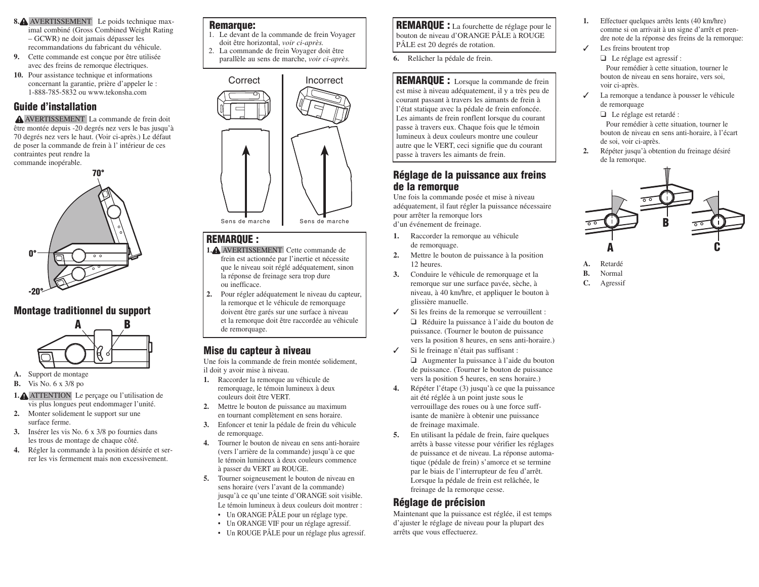- 8.<sup>2</sup> AVERTISSEMENT Le poids technique maximal combiné (Gross Combined Weight Rating – GCWR) ne doit jamais dépasser les recommandations du fabricant du véhicule.
- **9.** Cette commande est conçue por être utilisée avec des freins de remorque électriques.
- **10.** Pour assistance technique et informations concernant la garantie, prière d'appeler le : 1-888-785-5832 ou www.tekonsha.com

### **Guide d'installation**

AVERTISSEMENT La commande de frein doit être montée depuis -20 degrés nez vers le bas jusqu'à 70 degrés nez vers le haut. (Voir ci-après.) Le défaut de poser la commande de frein à l' intérieur de ces contraintes peut rendre la commande inopérable.



#### **Montage traditionnel du support**



**A.** Support de montage

**B.** Vis No. 6 x 3/8 po

- **1.** ATTENTION Le perçage ou l'utilisation de vis plus longues peut endommager l'unité.
- **2.** Monter solidement le support sur une surface ferme.
- **3.** Insérer les vis No. 6 x 3/8 po fournies dans les trous de montage de chaque côté.
- **4.** Régler la commande à la position désirée et serrer les vis fermement mais non excessivement.

#### **Remarque:**

- 1. Le devant de la commande de frein Voyager doit être horizontal, *voir ci-après.*
- 2. La commande de frein Voyager doit être parallèle au sens de marche, *voir ci-après.*



#### **REMARQUE :**

- **1.** AVERTISSEMENT Cette commande de frein est actionnée par l'inertie et nécessite que le niveau soit réglé adéquatement, sinon la réponse de freinage sera trop dure ou inefficace.
- **2.** Pour régler adéquatement le niveau du capteur, la remorque et le véhicule de remorquage doivent être garés sur une surface à niveau et la remorque doit être raccordée au véhicule de remorquage.

## **Mise du capteur à niveau**

Une fois la commande de frein montée solidement, il doit y avoir mise à niveau.

- **1.** Raccorder la remorque au véhicule de remorquage, le témoin lumineux à deux couleurs doit être VERT.
- **2.** Mettre le bouton de puissance au maximum en tournant complètement en sens horaire.
- **3.** Enfoncer et tenir la pédale de frein du véhicule de remorquage.
- **4.** Tourner le bouton de niveau en sens anti-horaire (vers l'arrière de la commande) jusqu'à ce que le témoin lumineux à deux couleurs commence à passer du VERT au ROUGE.
- **5.** Tourner soigneusement le bouton de niveau en sens horaire (vers l'avant de la commande) jusqu'à ce qu'une teinte d'ORANGE soit visible. Le témoin lumineux à deux couleurs doit montrer :
	- Un ORANGE PÂLE pour un réglage type.
	- Un ORANGE VIF pour un réglage agressif.
	- Un ROUGE PÂLE pour un réglage plus agressif.

**REMARQUE :** La fourchette de réglage pour le bouton de niveau d'ORANGE PÂLE à ROUGE PÂLE est 20 degrés de rotation.

**6.** Relâcher la pédale de frein.

#### **REMARQUE :** Lorsque la commande de frein

est mise à niveau adéquatement, il y a très peu de courant passant à travers les aimants de frein à l'état statique avec la pédale de frein enfoncée. Les aimants de frein ronflent lorsque du courant passe à travers eux. Chaque fois que le témoin lumineux à deux couleurs montre une couleur autre que le VERT, ceci signifie que du courant passe à travers les aimants de frein.

### **Réglage de la puissance aux freins de la remorque**

Une fois la commande posée et mise à niveau adéquatement, il faut régler la puissance nécessaire pour arrêter la remorque lors d'un événement de freinage.

- **1.** Raccorder la remorque au véhicule de remorquage.
- **2.** Mettre le bouton de puissance à la position 12 heures.
- **3.** Conduire le véhicule de remorquage et la remorque sur une surface pavée, sèche, à niveau, à 40 km/hre, et appliquer le bouton à glissière manuelle.
- ✓ Si les freins de la remorque se verrouillent : ❑ Réduire la puissance à l'aide du bouton de puissance. (Tourner le bouton de puissance vers la position 8 heures, en sens anti-horaire.)
- ✓ Si le freinage n'était pas suffisant : ❑ Augmenter la puissance à l'aide du bouton de puissance. (Tourner le bouton de puissance vers la position 5 heures, en sens horaire.)
- **4.** Répéter l'étape (3) jusqu'à ce que la puissance ait été réglée à un point juste sous le verrouillage des roues ou à une force suffisante de manière à obtenir une puissance de freinage maximale.
- **5.** En utilisant la pédale de frein, faire quelques arrêts à basse vitesse pour vérifier les réglages de puissance et de niveau. La réponse automatique (pédale de frein) s'amorce et se termine par le biais de l'interrupteur de feu d'arrêt. Lorsque la pédale de frein est relâchée, le freinage de la remorque cesse.

### **Réglage de précision**

Maintenant que la puissance est réglée, il est temps d'ajuster le réglage de niveau pour la plupart des arrêts que vous effectuerez.

- **1.** Effectuer quelques arrêts lents (40 km/hre) comme si on arrivait à un signe d'arrêt et prendre note de la réponse des freins de la remorque:
- ✓ Les freins broutent trop ❑ Le réglage est agressif : Pour remédier à cette situation, tourner le bouton de niveau en sens horaire, vers soi, voir ci-après.
- ✓ La remorque a tendance à pousser le véhicule de remorquage

❑ Le réglage est retardé :

Pour remédier à cette situation, tourner le bouton de niveau en sens anti-horaire, à l'écart de soi, voir ci-après.

**2.** Répéter jusqu'à obtention du freinage désiré de la remorque.



- **A.** Retardé
- **B.** Normal
- **C.** Agressif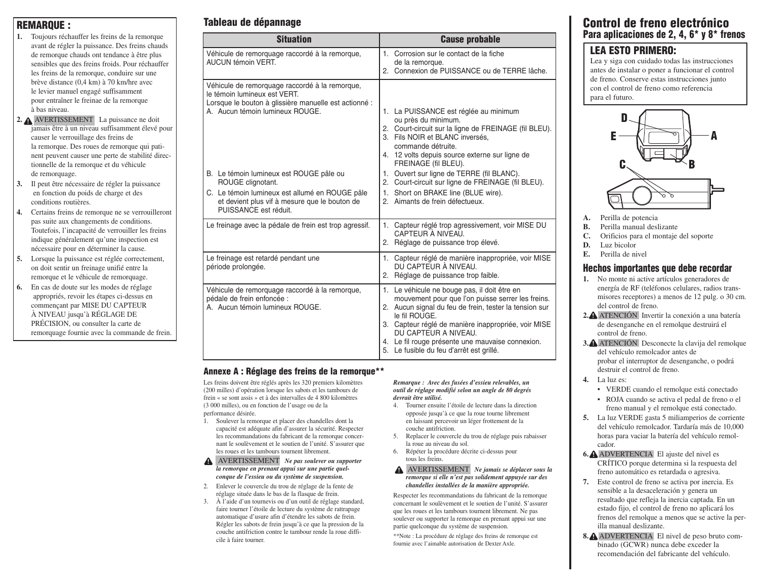#### **REMARQUE :**

- **1.** Toujours réchauffer les freins de la remorque avant de régler la puissance. Des freins chauds de remorque chauds ont tendance à être plus sensibles que des freins froids. Pour réchauffer les freins de la remorque, conduire sur une brève distance (0,4 km) à 70 km/hre avec le levier manuel engagé suffisamment pour entraîner le freinae de la remorque à bas niveau.
- **2.** AVERTISSEMENT La puissance ne doit jamais être à un niveau suffisamment élevé pour causer le verrouillage des freins de la remorque. Des roues de remorque qui patinent peuvent causer une perte de stabilité directionnelle de la remorque et du véhicule de remorquage.
- **3.** Il peut être nécessaire de régler la puissance en fonction du poids de charge et des conditions routières.
- **4.** Certains freins de remorque ne se verrouilleront pas suite aux changements de conditions. Toutefois, l'incapacité de verrouiller les freins indique généralement qu'une inspection est nécessaire pour en déterminer la cause.
- **5.** Lorsque la puissance est réglée correctement, on doit sentir un freinage unifié entre la remorque et le véhicule de remorquage.

**6.** En cas de doute sur les modes de réglage appropriés, revoir les étapes ci-dessus en commençant par MISE DU CAPTEUR À NIVEAU jusqu'à RÉGLAGE DE PRÉCISION, ou consulter la carte de remorquage fournie avec la commande de frein.

## **Tableau de dépannage**

| <b>Situation</b>                                                                                                                                                                                                                                                                                                                                                       | <b>Cause probable</b>                                                                                                                                                                                                                                                                                                                                                                                                                 |
|------------------------------------------------------------------------------------------------------------------------------------------------------------------------------------------------------------------------------------------------------------------------------------------------------------------------------------------------------------------------|---------------------------------------------------------------------------------------------------------------------------------------------------------------------------------------------------------------------------------------------------------------------------------------------------------------------------------------------------------------------------------------------------------------------------------------|
| Véhicule de remorquage raccordé à la remorque,<br>AUCUN témoin VERT.                                                                                                                                                                                                                                                                                                   | 1. Corrosion sur le contact de la fiche<br>de la remorque.<br>2. Connexion de PUISSANCE ou de TERRE lâche.                                                                                                                                                                                                                                                                                                                            |
| Véhicule de remorquage raccordé à la remorque,<br>le témoin lumineux est VERT.<br>Lorsque le bouton à glissière manuelle est actionné :<br>A. Aucun témoin lumineux ROUGE.<br>B. Le témoin lumineux est ROUGE pâle ou<br>ROUGE clignotant.<br>C. Le témoin lumineux est allumé en ROUGE pâle<br>et devient plus vif à mesure que le bouton de<br>PUISSANCE est réduit. | 1. La PUISSANCE est réglée au minimum<br>ou près du minimum.<br>2. Court-circuit sur la ligne de FREINAGE (fil BLEU).<br>3. Fils NOIR et BLANC inversés,<br>commande détruite.<br>4. 12 volts depuis source externe sur ligne de<br>FREINAGE (fil BLEU).<br>1. Ouvert sur ligne de TERRE (fil BLANC).<br>2. Court-circuit sur ligne de FREINAGE (fil BLEU).<br>1. Short on BRAKE line (BLUE wire).<br>2. Aimants de frein défectueux. |
| Le freinage avec la pédale de frein est trop agressif.                                                                                                                                                                                                                                                                                                                 | Capteur réglé trop agressivement, voir MISE DU<br>1.<br>CAPTEUR À NIVEAU.<br>2. Réglage de puissance trop élevé.                                                                                                                                                                                                                                                                                                                      |
| Le freinage est retardé pendant une<br>période prolongée.                                                                                                                                                                                                                                                                                                              | 1. Capteur réglé de manière inappropriée, voir MISE<br>DU CAPTEUR À NIVEAU.<br>2. Réglage de puissance trop faible.                                                                                                                                                                                                                                                                                                                   |
| Véhicule de remorquage raccordé à la remorque,<br>pédale de frein enfoncée :<br>A. Aucun témoin lumineux ROUGE.                                                                                                                                                                                                                                                        | 1. Le véhicule ne bouge pas, il doit être en<br>mouvement pour que l'on puisse serrer les freins.<br>2. Aucun signal du feu de frein, tester la tension sur<br>le fil ROUGE.<br>3. Capteur réglé de manière inappropriée, voir MISE<br>DU CAPTEUR A NIVEAU.<br>4. Le fil rouge présente une mauvaise connexion.<br>5. Le fusible du feu d'arrêt est grillé.                                                                           |

#### **Annexe A : Réglage des freins de la remorque\*\***

Les freins doivent être réglés après les 320 premiers kilomètres (200 milles) d'opération lorsque les sabots et les tambours de frein « se sont assis » et à des intervalles de 4 800 kilomètres (3 000 milles), ou en fonction de l'usage ou de la performance désirée.

- Soulever la remorque et placer des chandelles dont la capacité est adéquate afin d'assurer la sécurité. Respecter les recommandations du fabricant de la remorque concernant le soulèvement et le soutien de l'unité. S'assurer que les roues et les tambours tournent librement.
- AVERTISSEMENT *Ne pas soulever ou supporter la remorque en prenant appui sur une partie quelconque de l'essieu ou du système de suspension.*
- 2. Enlever le couvercle du trou de réglage de la fente de réglage située dans le bas de la flasque de frein.
- 3. À l'aide d'un tournevis ou d'un outil de réglage standard, faire tourner l'étoile de lecture du système de rattrapage automatique d'usure afin d'étendre les sabots de frein. Régler les sabots de frein jusqu'à ce que la pression de la couche antifriction contre le tambour rende la roue difficile à faire tourner.

*Remarque : Avec des fusées d'essieu relevables, un outil de réglage modifié selon un angle de 80 degrés devrait être utilisé.*

- 4. Tourner ensuite l'étoile de lecture dans la direction opposée jusqu'à ce que la roue tourne librement en laissant percevoir un léger frottement de la couche antifriction.
- 5. Replacer le couvercle du trou de réglage puis rabaisser la roue au niveau du sol.
- 6. Répéter la procédure décrite ci-dessus pour tous les freins.

#### AVERTISSEMENT *Ne jamais se déplacer sous la remorque si elle n'est pas solidement appuyée sur des chandelles installées de la manière appropriée.*

Respecter les recommandations du fabricant de la remorque concernant le soulèvement et le soutien de l'unité. S'assurer que les roues et les tambours tournent librement. Ne pas soulever ou supporter la remorque en prenant appui sur une partie quelconque du système de suspension.

\*\*Note : La procédure de réglage des freins de remorque est fournie avec l'aimable autorisation de Dexter Axle.

### **Control de freno electrónico Para aplicaciones de 2, 4, 6\* y 8\* frenos**

### **LEA ESTO PRIMERO:**

Lea y siga con cuidado todas las instrucciones antes de instalar o poner a funcionar el control de freno. Conserve estas instrucciones junto con el control de freno como referencia para el futuro.



- **A.** Perilla de potencia
- **B.** Perilla manual deslizante
- **C.** Orificios para el montaje del soporte
- **D.** Luz bicolor
- **E.** Perilla de nivel

### **Hechos importantes que debe recordar**

- **1.** No monte ni active artículos generadores de energía de RF (teléfonos celulares, radios transmisores receptores) a menos de 12 pulg. o 30 cm. del control de freno.
- **2.** ATENCIÓN Invertir la conexión a una batería de desenganche en el remolque destruirá el control de freno.
- **3.** ATENCIÓN Desconecte la clavija del remolque del vehículo remolcador antes de probar el interruptor de desenganche, o podrá destruir el control de freno.
- **4.** La luz es:
	- VERDE cuando el remolque está conectado
	- ROJA cuando se activa el pedal de freno o el freno manual y el remolque está conectado.
- **5.** La luz VERDE gasta 5 miliamperios de corriente del vehículo remolcador. Tardaría más de 10,000 horas para vaciar la batería del vehículo remolcador.
- **6.** ADVERTENCIA El ajuste del nivel es CRÍTICO porque determina si la respuesta del freno automático es retardada o agresiva.
- **7.** Este control de freno se activa por inercia. Es sensible a la desaceleración y genera un resultado que refleja la inercia captada. En un estado fijo, el control de freno no aplicará los frenos del remolque a menos que se active la perilla manual deslizante.
- **8.** ADVERTENCIA El nivel de peso bruto combinado (GCWR) nunca debe exceder la recomendación del fabricante del vehículo.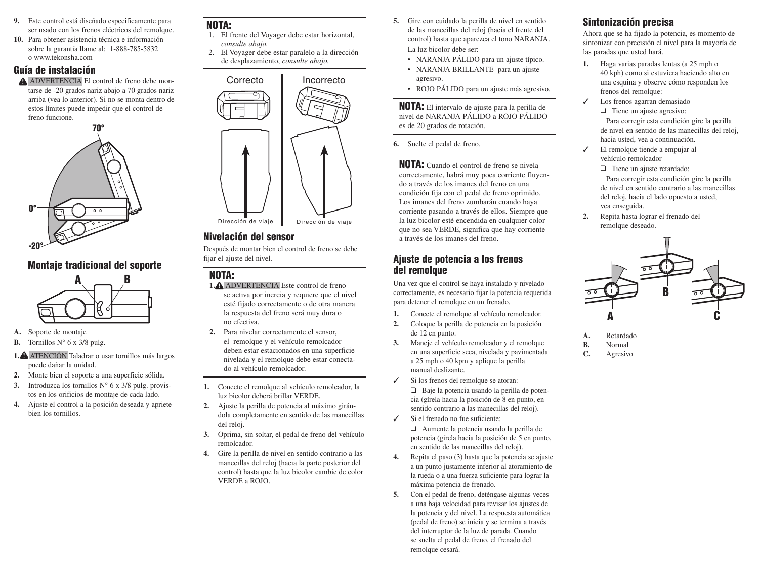- **9.** Este control está diseñado especificamente para ser usado con los frenos eléctricos del remolque.
- **10.** Para obtener asistencia técnica e información sobre la garantía llame al: 1-888-785-5832 o www.tekonsha.com

### **Guía de instalación**

ADVERTENCIA El control de freno debe montarse de -20 grados nariz abajo a 70 grados nariz arriba (vea lo anterior). Si no se monta dentro de estos límites puede impedir que el control de freno funcione.



## **Montaje tradicional del soporte**



- **A.** Soporte de montaje
- **B.** Tornillos  $N^{\circ}$  6 x 3/8 pulg.
- **1.** ATENCIÓN Taladrar o usar tornillos más largos puede dañar la unidad.
- **2.** Monte bien el soporte a una superficie sólida.
- **3.** Introduzca los tornillos N° 6 x 3/8 pulg. provistos en los orificios de montaje de cada lado.
- **4.** Ajuste el control a la posición deseada y apriete bien los tornillos.

### **NOTA:**

- 1. El frente del Voyager debe estar horizontal, *consulte abajo.*
- 2. El Voyager debe estar paralelo a la dirección de desplazamiento, *consulte abajo.*



### **Nivelación del sensor**

Después de montar bien el control de freno se debe fijar el ajuste del nivel.

### **NOTA:**

- **1.** ADVERTENCIA Este control de freno se activa por inercia y requiere que el nivel esté fijado correctamente o de otra manera la respuesta del freno será muy dura o no efectiva.
- **2.** Para nivelar correctamente el sensor, el remolque y el vehículo remolcador deben estar estacionados en una superficie nivelada y el remolque debe estar conectado al vehículo remolcador.
- **1.** Conecte el remolque al vehículo remolcador, la luz bicolor deberá brillar VERDE.
- **2.** Ajuste la perilla de potencia al máximo girándola completamente en sentido de las manecillas del reloj.
- **3.** Oprima, sin soltar, el pedal de freno del vehículo remolcador.
- **4.** Gire la perilla de nivel en sentido contrario a las manecillas del reloj (hacia la parte posterior del control) hasta que la luz bicolor cambie de color VERDE a ROJO.
- **5.** Gire con cuidado la perilla de nivel en sentido de las manecillas del reloj (hacia el frente del control) hasta que aparezca el tono NARANJA. La luz bicolor debe ser:
	- NARANJA PÁLIDO para un ajuste típico.
	- NARANJA BRILLANTE para un ajuste agresivo.
	- ROJO PÁLIDO para un ajuste más agresivo.

**NOTA:** El intervalo de ajuste para la perilla de nivel de NARANJA PÁLIDO a ROJO PÁLIDO es de 20 grados de rotación.

**6.** Suelte el pedal de freno.

**NOTA:** Cuando el control de freno se nivela correctamente, habrá muy poca corriente fluyendo a través de los imanes del freno en una condición fija con el pedal de freno oprimido. Los imanes del freno zumbarán cuando haya corriente pasando a través de ellos. Siempre que la luz bicolor esté encendida en cualquier color que no sea VERDE, significa que hay corriente a través de los imanes del freno.

### **Ajuste de potencia a los frenos del remolque**

Una vez que el control se haya instalado y nivelado correctamente, es necesario fijar la potencia requerida para detener el remolque en un frenado.

- **1.** Conecte el remolque al vehículo remolcador.
- **2.** Coloque la perilla de potencia en la posición de 12 en punto.
- **3.** Maneje el vehículo remolcador y el remolque en una superficie seca, nivelada y pavimentada a 25 mph o 40 kpm y aplique la perilla manual deslizante.
- ✓ Si los frenos del remolque se atoran: ❑ Baje la potencia usando la perilla de potencia (gírela hacia la posición de 8 en punto, en sentido contrario a las manecillas del reloj).
- ✓ Si el frenado no fue suficiente: ❑ Aumente la potencia usando la perilla de

potencia (gírela hacia la posición de 5 en punto, en sentido de las manecillas del reloj).

- **4.** Repita el paso (3) hasta que la potencia se ajuste a un punto justamente inferior al atoramiento de la rueda o a una fuerza suficiente para lograr la máxima potencia de frenado.
- **5.** Con el pedal de freno, deténgase algunas veces a una baja velocidad para revisar los ajustes de la potencia y del nivel. La respuesta automática (pedal de freno) se inicia y se termina a través del interruptor de la luz de parada. Cuando se suelta el pedal de freno, el frenado del remolque cesará.

# **Sintonización precisa**

Ahora que se ha fijado la potencia, es momento de sintonizar con precisión el nivel para la mayoría de las paradas que usted hará.

- **1.** Haga varias paradas lentas (a 25 mph o 40 kph) como si estuviera haciendo alto en una esquina y observe cómo responden los frenos del remolque:
- ✓ Los frenos agarran demasiado

❑ Tiene un ajuste agresivo: Para corregir esta condición gire la perilla de nivel en sentido de las manecillas del reloj, hacia usted, vea a continuación.

✓ El remolque tiende a empujar al vehículo remolcador

> ❑ Tiene un ajuste retardado: Para corregir esta condición gire la perilla de nivel en sentido contrario a las manecillas del reloj, hacia el lado opuesto a usted, vea enseguida.

**2.** Repita hasta lograr el frenado del remolque deseado.



- **A.** Retardado
- **B.** Normal
- **C.** Agresivo